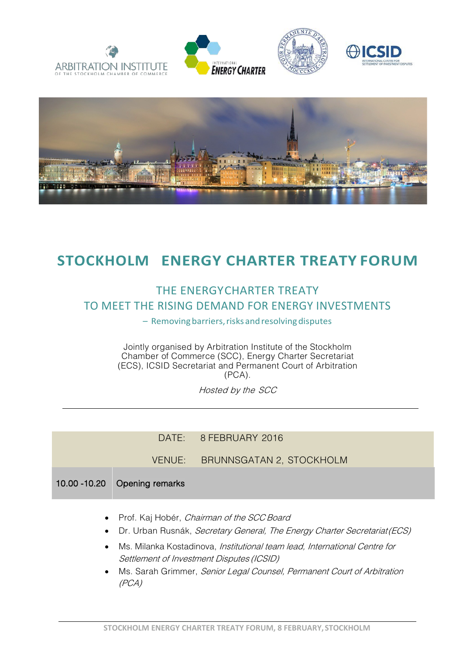









## **STOCKHOLM ENERGY CHARTER TREATY FORUM**

## THE ENERGYCHARTER TREATY TO MEET THE RISING DEMAND FOR ENERGY INVESTMENTS

- Removing barriers, risks and resolving disputes

Jointly organised by Arbitration Institute of the Stockholm Chamber of Commerce (SCC), Energy Charter Secretariat (ECS), ICSID Secretariat and Permanent Court of Arbitration (PCA).

Hosted by the SCC

## DATE: 8 FEBRUARY 2016

VENUE: BRUNNSGATAN 2, STOCKHOLM

## 10.00 -10.20 Opening remarks

- Prof. Kaj Hobér, Chairman of the SCC Board
- Dr. Urban Rusnák, Secretary General, The Energy Charter Secretariat (ECS)
- Ms. Milanka Kostadinova, *Institutional team lead, International Centre for* Settlement of Investment Disputes (ICSID)
- Ms. Sarah Grimmer, Senior Legal Counsel, Permanent Court of Arbitration (PCA)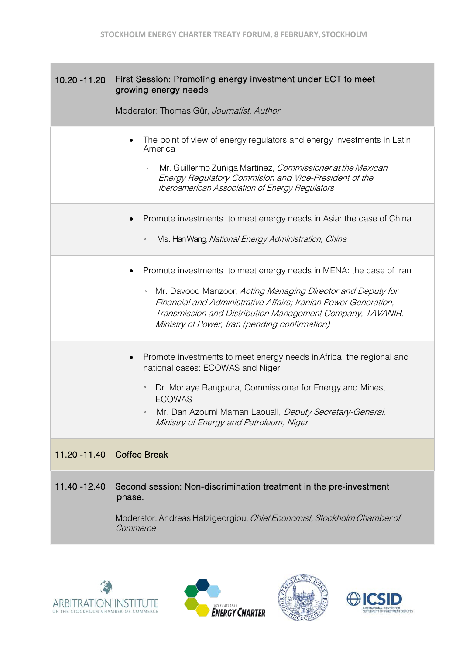| 10.20 - 11.20 | First Session: Promoting energy investment under ECT to meet<br>growing energy needs<br>Moderator: Thomas Gür, Journalist, Author                                                                                                                                                                                                  |
|---------------|------------------------------------------------------------------------------------------------------------------------------------------------------------------------------------------------------------------------------------------------------------------------------------------------------------------------------------|
|               | The point of view of energy regulators and energy investments in Latin<br>America<br>Mr. Guillermo Zúñiga Martínez, Commissioner at the Mexican<br>Energy Regulatory Commision and Vice-President of the<br><b>Iberoamerican Association of Energy Regulators</b>                                                                  |
|               | Promote investments to meet energy needs in Asia: the case of China<br>Ms. Han Wang, National Energy Administration, China<br>$\Box$                                                                                                                                                                                               |
|               | Promote investments to meet energy needs in MENA: the case of Iran<br>Mr. Davood Manzoor, Acting Managing Director and Deputy for<br>$\hbox{ }$<br>Financial and Administrative Affairs; Iranian Power Generation,<br>Transmission and Distribution Management Company, TAVANIR,<br>Ministry of Power, Iran (pending confirmation) |
|               | Promote investments to meet energy needs in Africa: the regional and<br>national cases: ECOWAS and Niger<br>Dr. Morlaye Bangoura, Commissioner for Energy and Mines,<br>$\blacksquare$<br><b>ECOWAS</b><br>Mr. Dan Azoumi Maman Laouali, Deputy Secretary-General,<br>Ministry of Energy and Petroleum, Niger                      |
| 11.20 - 11.40 | <b>Coffee Break</b>                                                                                                                                                                                                                                                                                                                |
| 11.40 - 12.40 | Second session: Non-discrimination treatment in the pre-investment<br>phase.<br>Moderator: Andreas Hatzigeorgiou, Chief Economist, Stockholm Chamber of<br>Commerce                                                                                                                                                                |







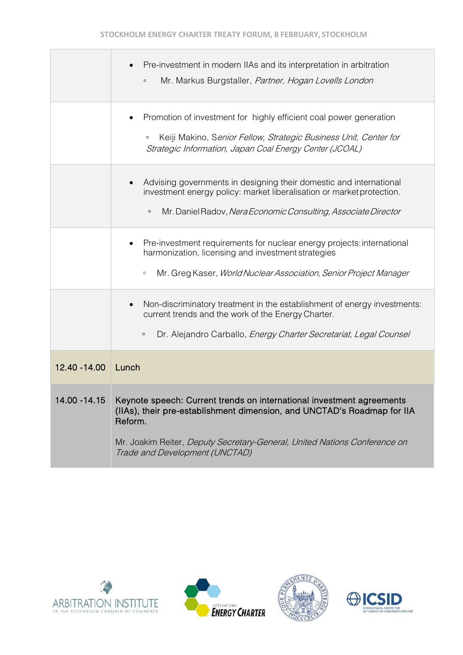|               | Pre-investment in modern IIAs and its interpretation in arbitration<br>Mr. Markus Burgstaller, Partner, Hogan Lovells London<br>$\Box$                                                                                                                                     |
|---------------|----------------------------------------------------------------------------------------------------------------------------------------------------------------------------------------------------------------------------------------------------------------------------|
|               | Promotion of investment for highly efficient coal power generation<br>Keiji Makino, Senior Fellow, Strategic Business Unit, Center for<br>$\Box$<br>Strategic Information, Japan Coal Energy Center (JCOAL)                                                                |
|               | Advising governments in designing their domestic and international<br>investment energy policy: market liberalisation or market protection.<br>Mr. Daniel Radov, Nera Economic Consulting, Associate Director<br>$\Box$                                                    |
|               | Pre-investment requirements for nuclear energy projects: international<br>harmonization, licensing and investment strategies<br>Mr. Greg Kaser, World Nuclear Association, Senior Project Manager<br>$\Box$                                                                |
|               | Non-discriminatory treatment in the establishment of energy investments:<br>$\bullet$<br>current trends and the work of the Energy Charter.<br>Dr. Alejandro Carballo, Energy Charter Secretariat, Legal Counsel<br>$\Box$                                                 |
| 12.40 - 14.00 | Lunch                                                                                                                                                                                                                                                                      |
| 14.00 -14.15  | Keynote speech: Current trends on international investment agreements<br>(IIAs), their pre-establishment dimension, and UNCTAD's Roadmap for IIA<br>Reform.<br>Mr. Joakim Reiter, Deputy Secretary-General, United Nations Conference on<br>Trade and Development (UNCTAD) |







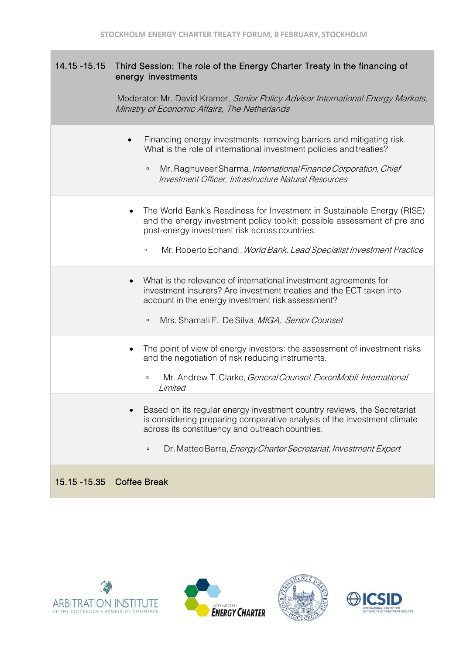| $14.15 - 15.15$ | Third Session: The role of the Energy Charter Treaty in the financing of<br>energy investments<br>Moderator: Mr. David Kramer, Senior Policy Advisor International Energy Markets,<br>Ministry of Economic Affairs, The Netherlands                                                   |
|-----------------|---------------------------------------------------------------------------------------------------------------------------------------------------------------------------------------------------------------------------------------------------------------------------------------|
|                 | Financing energy investments: removing barriers and mitigating risk.<br>What is the role of international investment policies and treaties?<br>Mr. Raghuveer Sharma, International Finance Corporation, Chief<br>$\Box$<br>Investment Officer, Infrastructure Natural Resources       |
|                 | The World Bank's Readiness for Investment in Sustainable Energy (RISE)<br>and the energy investment policy toolkit: possible assessment of pre and<br>post-energy investment risk across countries.<br>Mr. Roberto Echandi, World Bank, Lead Specialist Investment Practice<br>$\Box$ |
|                 | What is the relevance of international investment agreements for<br>$\bullet$<br>investment insurers? Are investment treaties and the ECT taken into<br>account in the energy investment risk assessment?<br>Mrs. Shamali F. De Silva, MIGA, Senior Counsel<br>$\Box$                 |
|                 | The point of view of energy investors: the assessment of investment risks<br>and the negotiation of risk reducing instruments.<br>Mr. Andrew T. Clarke, General Counsel, ExxonMobil International<br>$\Box$<br>Limited                                                                |
|                 | Based on its regular energy investment country reviews, the Secretariat<br>is considering preparing comparative analysis of the investment climate<br>across its constituency and outreach countries.<br>Dr. Matteo Barra, Energy Charter Secretariat, Investment Expert<br>$\Box$    |
| 15.15 - 15.35   | <b>Coffee Break</b>                                                                                                                                                                                                                                                                   |